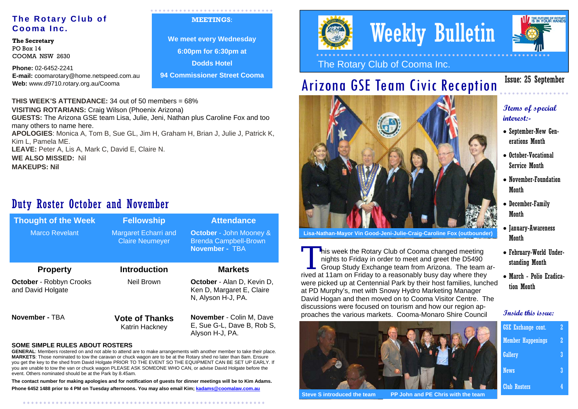#### **The Rotary Club of Cooma Inc.**

**The Secretary**  PO Box 14 COOMA NSW 2630

**Phone:** 02-6452-2241 **E-mail:** coomarotary@home.netspeed.com.au **Web:** www.d9710.rotary.org.au/Cooma

**MEETINGS**:

**We meet every Wednesday 6:00pm for 6:30pm at Dodds Hotel 94 Commissioner Street Cooma**

#### **THIS WEEK'S ATTENDANCE:** 34 out of 50 members = 68%

**VISITING ROTARIANS:** Craig Wilson (Phoenix Arizona)

**GUESTS:** The Arizona GSE team Lisa, Julie, Jeni, Nathan plus Caroline Fox and too many others to name here.

**APOLOGIES**: Monica A, Tom B, Sue GL, Jim H, Graham H, Brian J, Julie J, Patrick K, Kim L, Pamela ME.

**LEAVE:** Peter A, Lis A, Mark C, David E, Claire N.

**WE ALSO MISSED:** Nil

**MAKEUPS: Nil**

### Duty Roster October and November

| <b>Thought of the Week</b>                   | <b>Fellowship</b>                                     | <b>Attendance</b>                                                                       |
|----------------------------------------------|-------------------------------------------------------|-----------------------------------------------------------------------------------------|
| <b>Marco Revelant</b>                        | <b>Margaret Echarri and</b><br><b>Claire Neumeyer</b> | <b>October</b> - John Mooney &<br><b>Brenda Campbell-Brown</b><br><b>November - TBA</b> |
| <b>Property</b>                              | <b>Introduction</b>                                   | <b>Markets</b>                                                                          |
| October - Robbyn Crooks<br>and David Holgate | Neil Brown                                            | <b>October</b> - Alan D, Kevin D,<br>Ken D, Margaret E, Claire<br>N, Alyson H-J, PA.    |
| November - TBA                               | <b>Vote of Thanks</b><br>Katrin Hackney               | <b>November</b> - Colin M, Dave<br>E, Sue G-L, Dave B, Rob S,<br>Alyson H-J, PA.        |
| <b>SOME SIMPLE RULES ABOUT ROSTERS</b>       |                                                       |                                                                                         |

**GENERAL**: Members rostered on and not able to attend are to make arrangements with another member to take their place. **MARKETS**: Those nominated to tow the caravan or chuck wagon are to be at the Rotary shed no later than 8am. Ensure you get the key to the shed from David Holgate PRIOR TO THE EVENT SO THE EQUIPMENT CAN BE SET UP EARLY. If you are unable to tow the van or chuck wagon PLEASE ASK SOMEONE WHO CAN, or advise David Holgate before the event. Others nominated should be at the Park by 8.45am.

**The contact number for making apologies and for notification of guests for dinner meetings will be to Kim Adams.**  Phone 6452 1488 prior to 4 PM on Tuesday afternoons. You may also email Kim; kadams@coomalaw.com.au



# Weekly Bulletin



The Rotary Club of Cooma Inc.

# Arizona GSE Team Civic Reception



**Lisa-Nathan-Mayor Vin Good-Jeni-Julie-Craig-Caroline Fox (outbounder)** 

This week the Rotary Club of Cooma changed meeting<br>nights to Friday in order to meet and greet the D5490<br>Group Study Exchange team from Arizona. The team arrived at 11am on Friday to a reasonably busy day where they were picked up at Centennial Park by their host families, lunched at PD Murphy's, met with Snowy Hydro Marketing Manager David Hogan and then moved on to Cooma Visitor Centre. The discussions were focused on tourism and how our region approaches the various markets. Cooma-Monaro Shire Council



**Steve S introduced the team PP John and PE Chris with the team** 

Issue: 25 September

#### **Items of special interest:-**

- September-New Generations Month
- October-Vocational Service Month
- November-Foundation Month
- December-Family **Month**
- January-Awareness **Month**
- February-World Understanding Month
- March Polio Eradication Month

#### **Inside this issue:**

| <b>GSE Exchange cont.</b> | 2 |
|---------------------------|---|
| <b>Member Happenings</b>  | 2 |
| <b>Gallery</b>            | R |
| <b>News</b>               | R |
| <b>Club Rosters</b>       |   |